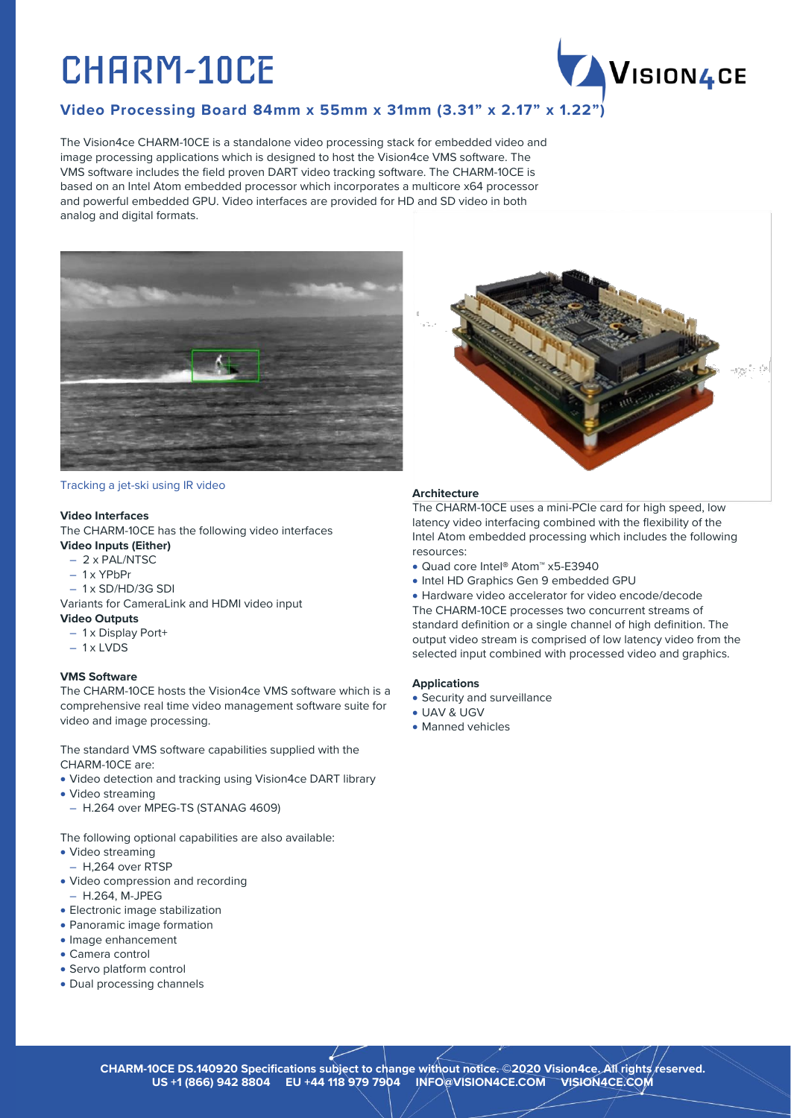# CHARM-10CE



## **Video Processing Board 84mm x 55mm x 31mm (3.31" x 2.17" x 1.22")**

The Vision4ce CHARM-10CE is a standalone video processing stack for embedded video and image processing applications which is designed to host the Vision4ce VMS software. The VMS software includes the field proven DART video tracking software. The CHARM-10CE is based on an Intel Atom embedded processor which incorporates a multicore x64 processor and powerful embedded GPU. Video interfaces are provided for HD and SD video in both analog and digital formats.



#### Tracking a jet-ski using IR video

#### **Video Interfaces**

The CHARM-10CE has the following video interfaces

- **Video Inputs (Either)**
	- 2 x PAL/NTSC
	- 1 x YPbPr
- 1 x SD/HD/3G SDI
- Variants for CameraLink and HDMI video input

## **Video Outputs**

- 1 x Display Port+
- $-1$  x LVDS

## **VMS Software**

The CHARM-10CE hosts the Vision4ce VMS software which is a comprehensive real time video management software suite for video and image processing.

The standard VMS software capabilities supplied with the CHARM-10CE are:

- Video detection and tracking using Vision4ce DART library
- Video streaming
- H.264 over MPEG-TS (STANAG 4609)

The following optional capabilities are also available:

- Video streaming
- H,264 over RTSP
- Video compression and recording
- H.264, M-JPEG • Electronic image stabilization
- Panoramic image formation
- Image enhancement
- Camera control
- Servo platform control
- Dual processing channels



## **Architecture**

The CHARM-10CE uses a mini-PCIe card for high speed, low latency video interfacing combined with the flexibility of the Intel Atom embedded processing which includes the following resources:

- Quad core Intel**®** Atom™ x5-E3940
- Intel HD Graphics Gen 9 embedded GPU

• Hardware video accelerator for video encode/decode The CHARM-10CE processes two concurrent streams of standard definition or a single channel of high definition. The output video stream is comprised of low latency video from the selected input combined with processed video and graphics.

## **Applications**

- Security and surveillance
- UAV & UGV
- Manned vehicles